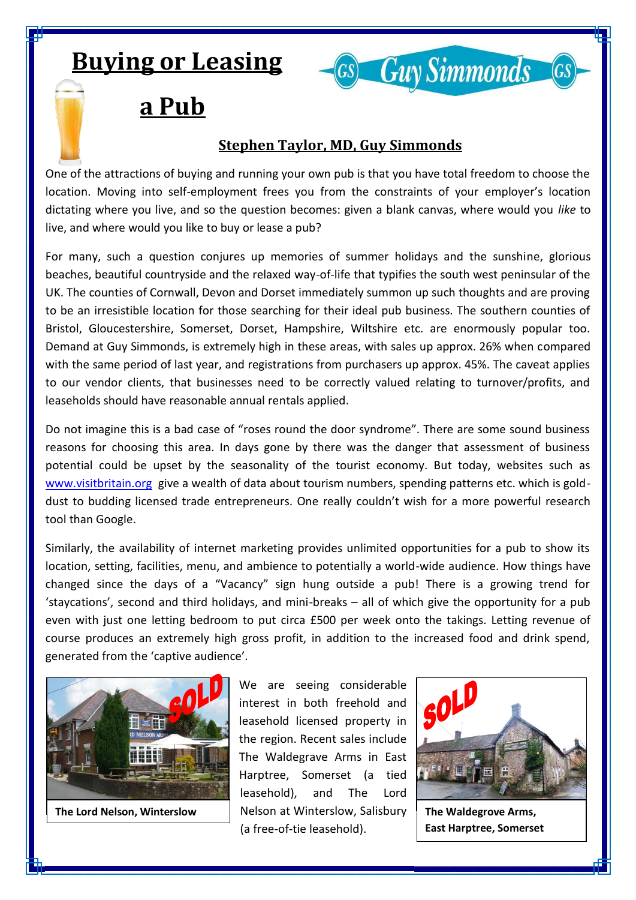## **Buying or Leasing**



## **a Pub**

## **Stephen Taylor, MD, Guy Simmonds**

One of the attractions of buying and running your own pub is that you have total freedom to choose the location. Moving into self-employment frees you from the constraints of your employer's location dictating where you live, and so the question becomes: given a blank canvas, where would you *like* to live, and where would you like to buy or lease a pub?

For many, such a question conjures up memories of summer holidays and the sunshine, glorious beaches, beautiful countryside and the relaxed way-of-life that typifies the south west peninsular of the UK. The counties of Cornwall, Devon and Dorset immediately summon up such thoughts and are proving to be an irresistible location for those searching for their ideal pub business. The southern counties of Bristol, Gloucestershire, Somerset, Dorset, Hampshire, Wiltshire etc. are enormously popular too. Demand at Guy Simmonds, is extremely high in these areas, with sales up approx. 26% when compared with the same period of last year, and registrations from purchasers up approx. 45%. The caveat applies to our vendor clients, that businesses need to be correctly valued relating to turnover/profits, and leaseholds should have reasonable annual rentals applied.

Do not imagine this is a bad case of "roses round the door syndrome". There are some sound business reasons for choosing this area. In days gone by there was the danger that assessment of business potential could be upset by the seasonality of the tourist economy. But today, websites such as [www.visitbritain.org](http://www.visitbritain.org/) give a wealth of data about tourism numbers, spending patterns etc. which is golddust to budding licensed trade entrepreneurs. One really couldn't wish for a more powerful research tool than Google.

Similarly, the availability of internet marketing provides unlimited opportunities for a pub to show its location, setting, facilities, menu, and ambience to potentially a world-wide audience. How things have changed since the days of a "Vacancy" sign hung outside a pub! There is a growing trend for 'staycations', second and third holidays, and mini-breaks – all of which give the opportunity for a pub even with just one letting bedroom to put circa £500 per week onto the takings. Letting revenue of course produces an extremely high gross profit, in addition to the increased food and drink spend, generated from the 'captive audience'.



We are seeing considerable interest in both freehold and leasehold licensed property in the region. Recent sales include The Waldegrave Arms in East Harptree, Somerset (a tied leasehold), and The Lord **The Lord Nelson, Winterslow** | Nelson at Winterslow, Salisbury | The Waldegrove Arms, (a free-of-tie leasehold).



**East Harptree, Somerset**